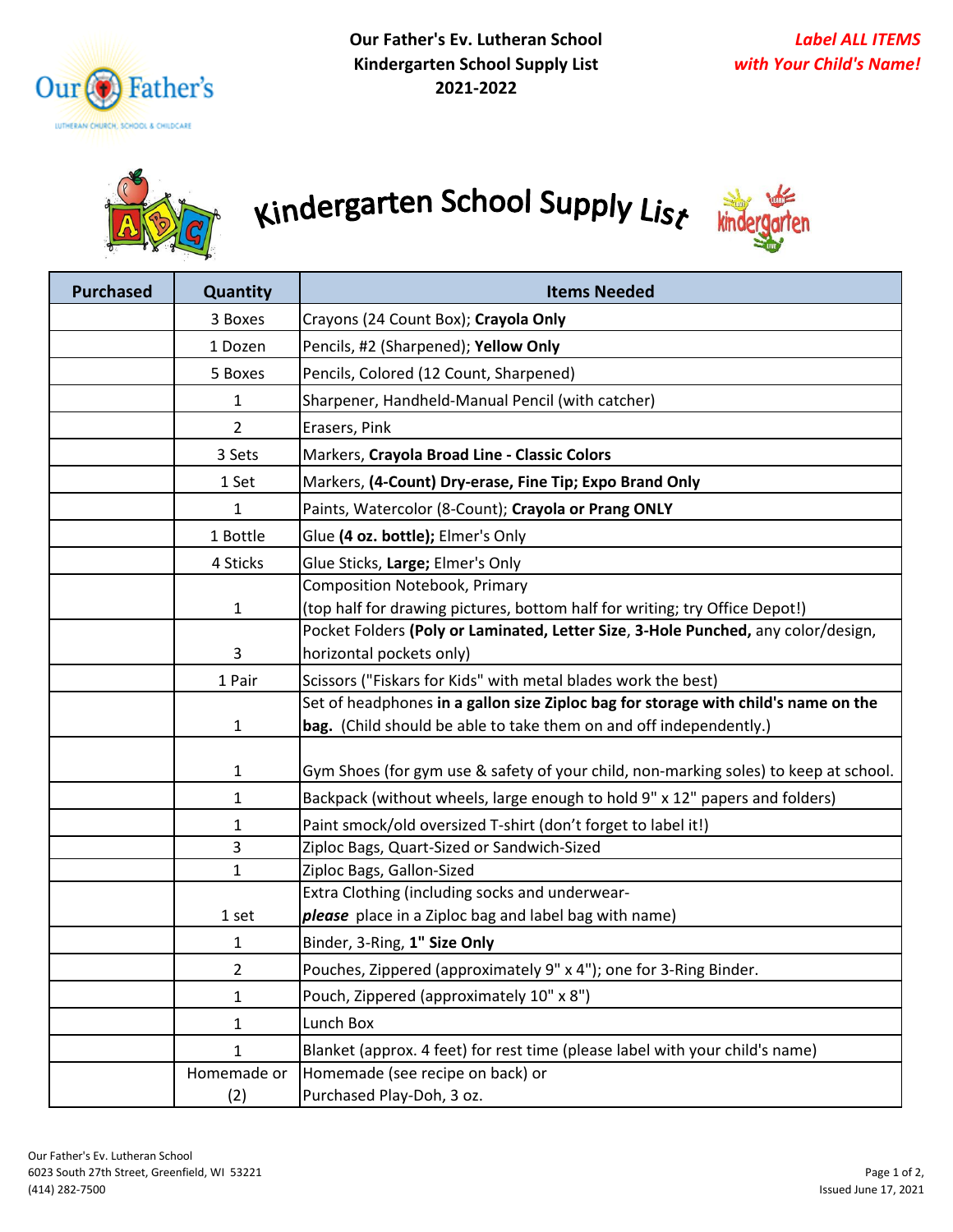



## Kindergarten School Supply List



| <b>Purchased</b> | Quantity                                                                | <b>Items Needed</b>                                                                                                                                      |  |
|------------------|-------------------------------------------------------------------------|----------------------------------------------------------------------------------------------------------------------------------------------------------|--|
|                  | 3 Boxes                                                                 | Crayons (24 Count Box); Crayola Only                                                                                                                     |  |
|                  | 1 Dozen                                                                 | Pencils, #2 (Sharpened); Yellow Only                                                                                                                     |  |
|                  | 5 Boxes                                                                 | Pencils, Colored (12 Count, Sharpened)                                                                                                                   |  |
|                  | 1                                                                       | Sharpener, Handheld-Manual Pencil (with catcher)                                                                                                         |  |
|                  | $\overline{2}$                                                          | Erasers, Pink                                                                                                                                            |  |
|                  | 3 Sets                                                                  | Markers, Crayola Broad Line - Classic Colors                                                                                                             |  |
|                  | 1 Set                                                                   | Markers, (4-Count) Dry-erase, Fine Tip; Expo Brand Only                                                                                                  |  |
|                  | $\mathbf 1$                                                             | Paints, Watercolor (8-Count); Crayola or Prang ONLY                                                                                                      |  |
|                  | 1 Bottle                                                                | Glue (4 oz. bottle); Elmer's Only                                                                                                                        |  |
|                  | 4 Sticks                                                                | Glue Sticks, Large; Elmer's Only                                                                                                                         |  |
|                  |                                                                         | <b>Composition Notebook, Primary</b>                                                                                                                     |  |
|                  | $\mathbf{1}$                                                            | (top half for drawing pictures, bottom half for writing; try Office Depot!)                                                                              |  |
|                  | 3                                                                       | Pocket Folders (Poly or Laminated, Letter Size, 3-Hole Punched, any color/design,<br>horizontal pockets only)                                            |  |
|                  | Scissors ("Fiskars for Kids" with metal blades work the best)<br>1 Pair |                                                                                                                                                          |  |
|                  | $\mathbf{1}$                                                            | Set of headphones in a gallon size Ziploc bag for storage with child's name on the<br>bag. (Child should be able to take them on and off independently.) |  |
|                  | $\mathbf{1}$                                                            | Gym Shoes (for gym use & safety of your child, non-marking soles) to keep at school.                                                                     |  |
|                  | $\mathbf{1}$                                                            | Backpack (without wheels, large enough to hold 9" x 12" papers and folders)                                                                              |  |
|                  | 1                                                                       | Paint smock/old oversized T-shirt (don't forget to label it!)                                                                                            |  |
|                  | 3                                                                       | Ziploc Bags, Quart-Sized or Sandwich-Sized                                                                                                               |  |
|                  | $\mathbf{1}$                                                            | Ziploc Bags, Gallon-Sized                                                                                                                                |  |
|                  |                                                                         | Extra Clothing (including socks and underwear-                                                                                                           |  |
|                  | 1 set                                                                   | please place in a Ziploc bag and label bag with name)                                                                                                    |  |
|                  | 1                                                                       | Binder, 3-Ring, 1" Size Only                                                                                                                             |  |
|                  | 2                                                                       | Pouches, Zippered (approximately 9" x 4"); one for 3-Ring Binder.                                                                                        |  |
|                  | 1                                                                       | Pouch, Zippered (approximately 10" x 8")                                                                                                                 |  |
|                  | $\mathbf{1}$                                                            | Lunch Box                                                                                                                                                |  |
|                  | $\mathbf{1}$                                                            | Blanket (approx. 4 feet) for rest time (please label with your child's name)                                                                             |  |
|                  | Homemade or                                                             | Homemade (see recipe on back) or                                                                                                                         |  |
|                  | (2)                                                                     | Purchased Play-Doh, 3 oz.                                                                                                                                |  |